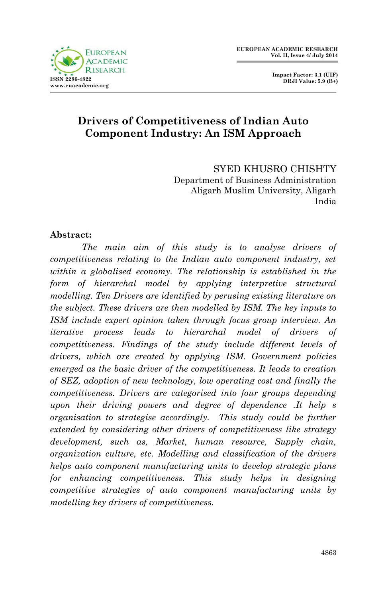**Impact Factor: 3.1 (UIF) DRJI Value: 5.9 (B+)**

# **Drivers of Competitiveness of Indian Auto Component Industry: An ISM Approach**

SYED KHUSRO CHISHTY Department of Business Administration Aligarh Muslim University, Aligarh India

#### **Abstract:**

*The main aim of this study is to analyse drivers of competitiveness relating to the Indian auto component industry, set within a globalised economy. The relationship is established in the form of hierarchal model by applying interpretive structural modelling. Ten Drivers are identified by perusing existing literature on the subject. These drivers are then modelled by ISM. The key inputs to ISM include expert opinion taken through focus group interview. An iterative process leads to hierarchal model of drivers of competitiveness. Findings of the study include different levels of drivers, which are created by applying ISM. Government policies emerged as the basic driver of the competitiveness. It leads to creation of SEZ, adoption of new technology, low operating cost and finally the competitiveness. Drivers are categorised into four groups depending upon their driving powers and degree of dependence .It help s organisation to strategise accordingly. This study could be further extended by considering other drivers of competitiveness like strategy development, such as, Market, human resource, Supply chain, organization culture, etc. Modelling and classification of the drivers helps auto component manufacturing units to develop strategic plans for enhancing competitiveness. This study helps in designing competitive strategies of auto component manufacturing units by modelling key drivers of competitiveness.*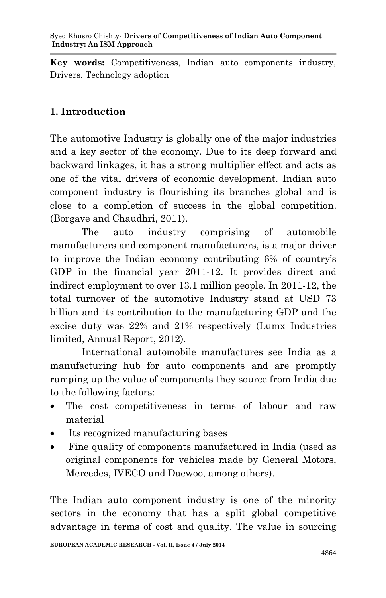**Key words:** Competitiveness, Indian auto components industry, Drivers, Technology adoption

# **1. Introduction**

The automotive Industry is globally one of the major industries and a key sector of the economy. Due to its deep forward and backward linkages, it has a strong multiplier effect and acts as one of the vital drivers of economic development. Indian auto component industry is flourishing its branches global and is close to a completion of success in the global competition. (Borgave and Chaudhri, 2011).

The auto industry comprising of automobile manufacturers and component manufacturers, is a major driver to improve the Indian economy contributing 6% of country's GDP in the financial year 2011-12. It provides direct and indirect employment to over 13.1 million people. In 2011-12, the total turnover of the automotive Industry stand at USD 73 billion and its contribution to the manufacturing GDP and the excise duty was 22% and 21% respectively (Lumx Industries limited, Annual Report, 2012).

International automobile manufactures see India as a manufacturing hub for auto components and are promptly ramping up the value of components they source from India due to the following factors:

- The cost competitiveness in terms of labour and raw material
- Its recognized manufacturing bases
- Fine quality of components manufactured in India (used as original components for vehicles made by General Motors, Mercedes, IVECO and Daewoo, among others).

The Indian auto component industry is one of the minority sectors in the economy that has a split global competitive advantage in terms of cost and quality. The value in sourcing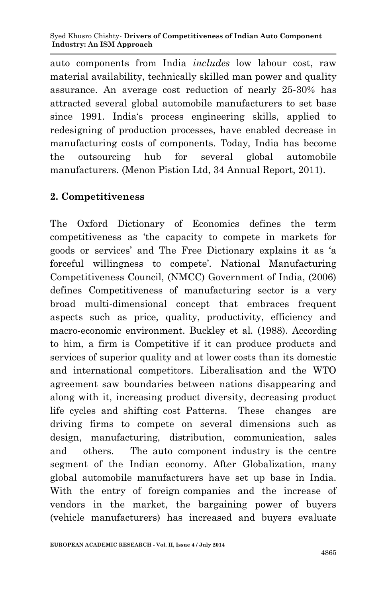auto components from India *includes* low labour cost, raw material availability, technically skilled man power and quality assurance. An average cost reduction of nearly 25‐30% has attracted several global automobile manufacturers to set base since 1991. India's process engineering skills, applied to redesigning of production processes, have enabled decrease in manufacturing costs of components. Today, India has become the outsourcing hub for several global automobile manufacturers. (Menon Pistion Ltd, 34 Annual Report, 2011).

### **2. Competitiveness**

The Oxford Dictionary of Economics defines the term competitiveness as 'the capacity to compete in markets for goods or services' and The Free Dictionary explains it as 'a forceful willingness to compete'. National Manufacturing Competitiveness Council, (NMCC) Government of India, (2006) defines Competitiveness of manufacturing sector is a very broad multi-dimensional concept that embraces frequent aspects such as price, quality, productivity, efficiency and macro-economic environment. Buckley et al. (1988). According to him, a firm is Competitive if it can produce products and services of superior quality and at lower costs than its domestic and international competitors. Liberalisation and the WTO agreement saw boundaries between nations disappearing and along with it, increasing product diversity, decreasing product life cycles and shifting cost Patterns. These changes are driving firms to compete on several dimensions such as design, manufacturing, distribution, communication, sales and others. The auto component industry is the centre segment of the Indian economy. After Globalization, many global automobile manufacturers have set up base in India. With the entry of foreign companies and the increase of vendors in the market, the bargaining power of buyers (vehicle manufacturers) has increased and buyers evaluate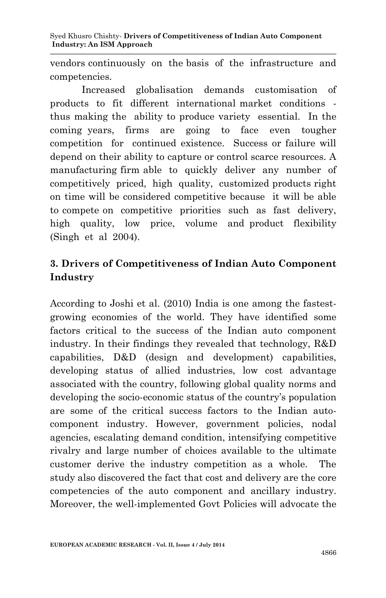vendors continuously on the basis of the infrastructure and competencies.

Increased globalisation demands customisation of products to fit different international market conditions thus making the ability to produce variety essential. In the coming years, firms are going to face even tougher competition for continued existence. Success or failure will depend on their ability to capture or control scarce resources. A manufacturing firm able to quickly deliver any number of competitively priced, high quality, customized products right on time will be considered competitive because it will be able to compete on competitive priorities such as fast delivery, high quality, low price, volume and product flexibility (Singh et al 2004).

# **3. Drivers of Competitiveness of Indian Auto Component Industry**

According to Joshi et al. (2010) India is one among the fastestgrowing economies of the world. They have identified some factors critical to the success of the Indian auto component industry. In their findings they revealed that technology, R&D capabilities, D&D (design and development) capabilities, developing status of allied industries, low cost advantage associated with the country, following global quality norms and developing the socio-economic status of the country's population are some of the critical success factors to the Indian autocomponent industry. However, government policies, nodal agencies, escalating demand condition, intensifying competitive rivalry and large number of choices available to the ultimate customer derive the industry competition as a whole. The study also discovered the fact that cost and delivery are the core competencies of the auto component and ancillary industry. Moreover, the well-implemented Govt Policies will advocate the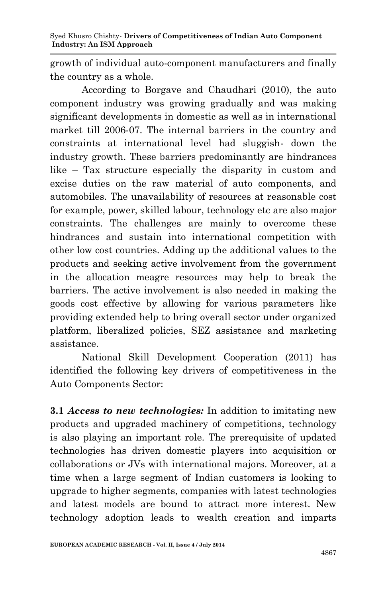growth of individual auto-component manufacturers and finally the country as a whole.

According to Borgave and Chaudhari (2010), the auto component industry was growing gradually and was making significant developments in domestic as well as in international market till 2006-07. The internal barriers in the country and constraints at international level had sluggish- down the industry growth. These barriers predominantly are hindrances like – Tax structure especially the disparity in custom and excise duties on the raw material of auto components, and automobiles. The unavailability of resources at reasonable cost for example, power, skilled labour, technology etc are also major constraints. The challenges are mainly to overcome these hindrances and sustain into international competition with other low cost countries. Adding up the additional values to the products and seeking active involvement from the government in the allocation meagre resources may help to break the barriers. The active involvement is also needed in making the goods cost effective by allowing for various parameters like providing extended help to bring overall sector under organized platform, liberalized policies, SEZ assistance and marketing assistance.

National Skill Development Cooperation (2011) has identified the following key drivers of competitiveness in the Auto Components Sector:

**3.1** *Access to new technologies:* In addition to imitating new products and upgraded machinery of competitions, technology is also playing an important role. The prerequisite of updated technologies has driven domestic players into acquisition or collaborations or JVs with international majors. Moreover, at a time when a large segment of Indian customers is looking to upgrade to higher segments, companies with latest technologies and latest models are bound to attract more interest. New technology adoption leads to wealth creation and imparts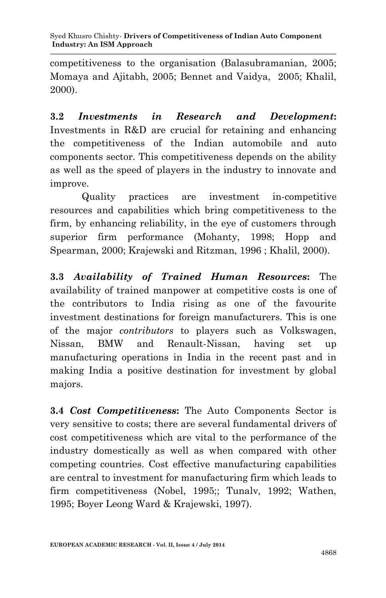competitiveness to the organisation (Balasubramanian, 2005; Momaya and Ajitabh, 2005; Bennet and Vaidya, 2005; Khalil, 2000).

**3.2** *Investments in Research and Development***:** Investments in R&D are crucial for retaining and enhancing the competitiveness of the Indian automobile and auto components sector. This competitiveness depends on the ability as well as the speed of players in the industry to innovate and improve.

Quality practices are investment in-competitive resources and capabilities which bring competitiveness to the firm, by enhancing reliability, in the eye of customers through superior firm performance (Mohanty, 1998; Hopp and Spearman, 2000; Krajewski and Ritzman, 1996 ; Khalil, 2000).

**3.3** *Availability of Trained Human Resources***:** The availability of trained manpower at competitive costs is one of the contributors to India rising as one of the favourite investment destinations for foreign manufacturers. This is one of the major *contributors* to players such as Volkswagen, Nissan, BMW and Renault-Nissan, having set up manufacturing operations in India in the recent past and in making India a positive destination for investment by global majors.

**3.4** *Cost Competitiveness***:** The Auto Components Sector is very sensitive to costs; there are several fundamental drivers of cost competitiveness which are vital to the performance of the industry domestically as well as when compared with other competing countries. Cost effective manufacturing capabilities are central to investment for manufacturing firm which leads to firm competitiveness (Nobel, 1995;; Tunalv, 1992; Wathen, 1995; Boyer Leong Ward & Krajewski, 1997).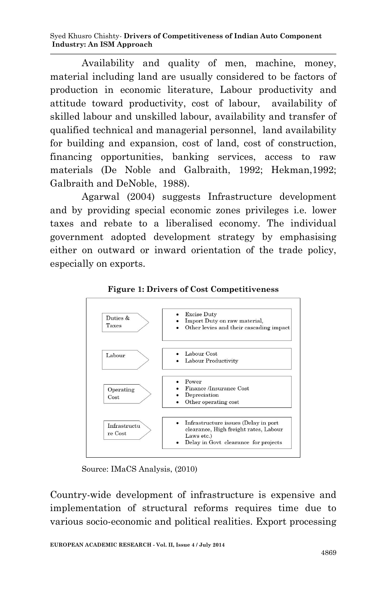Syed Khusro Chishty*-* **Drivers of Competitiveness of Indian Auto Component Industry: An ISM Approach**

Availability and quality of men, machine, money, material including land are usually considered to be factors of production in economic literature, Labour productivity and attitude toward productivity, cost of labour, availability of skilled labour and unskilled labour, availability and transfer of qualified technical and managerial personnel, land availability for building and expansion, cost of land, cost of construction, financing opportunities, banking services, access to raw materials (De Noble and Galbraith, 1992; Hekman,1992; Galbraith and DeNoble, 1988).

Agarwal (2004) suggests Infrastructure development and by providing special economic zones privileges i.e. lower taxes and rebate to a liberalised economy. The individual government adopted development strategy by emphasising either on outward or inward orientation of the trade policy, especially on exports.



**Figure 1: Drivers of Cost Competitiveness**

Source: IMaCS Analysis, (2010)

Country-wide development of infrastructure is expensive and implementation of structural reforms requires time due to various socio-economic and political realities. Export processing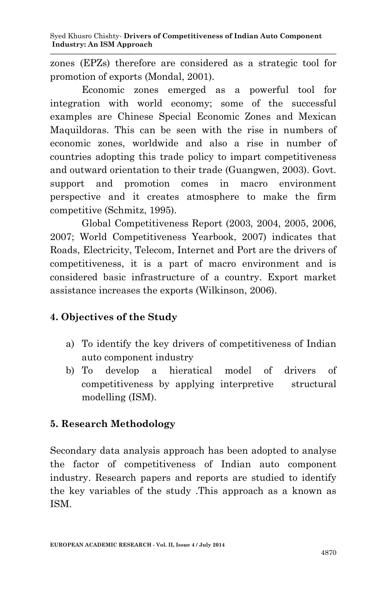zones (EPZs) therefore are considered as a strategic tool for promotion of exports (Mondal, 2001).

Economic zones emerged as a powerful tool for integration with world economy; some of the successful examples are Chinese Special Economic Zones and Mexican Maquildoras. This can be seen with the rise in numbers of economic zones, worldwide and also a rise in number of countries adopting this trade policy to impart competitiveness and outward orientation to their trade (Guangwen, 2003). Govt. support and promotion comes in macro environment perspective and it creates atmosphere to make the firm competitive (Schmitz, 1995).

Global Competitiveness Report (2003, 2004, 2005, 2006, 2007; World Competitiveness Yearbook, 2007) indicates that Roads, Electricity, Telecom, Internet and Port are the drivers of competitiveness, it is a part of macro environment and is considered basic infrastructure of a country. Export market assistance increases the exports (Wilkinson, 2006).

# **4. Objectives of the Study**

- a) To identify the key drivers of competitiveness of Indian auto component industry
- b) To develop a hieratical model of drivers of competitiveness by applying interpretive structural modelling (ISM).

# **5. Research Methodology**

Secondary data analysis approach has been adopted to analyse the factor of competitiveness of Indian auto component industry. Research papers and reports are studied to identify the key variables of the study .This approach as a known as ISM.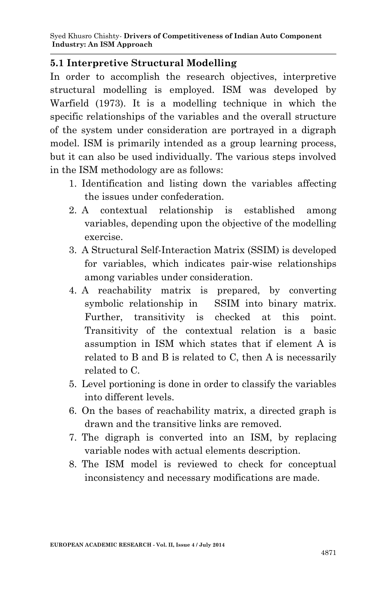#### **5.1 Interpretive Structural Modelling**

In order to accomplish the research objectives, interpretive structural modelling is employed. ISM was developed by Warfield (1973). It is a modelling technique in which the specific relationships of the variables and the overall structure of the system under consideration are portrayed in a digraph model. ISM is primarily intended as a group learning process, but it can also be used individually. The various steps involved in the ISM methodology are as follows:

- 1. Identification and listing down the variables affecting the issues under confederation.
- 2. A contextual relationship is established among variables, depending upon the objective of the modelling exercise.
- 3. A Structural Self-Interaction Matrix (SSIM) is developed for variables, which indicates pair-wise relationships among variables under consideration.
- 4. A reachability matrix is prepared, by converting symbolic relationship in SSIM into binary matrix. Further, transitivity is checked at this point. Transitivity of the contextual relation is a basic assumption in ISM which states that if element A is related to B and B is related to C, then A is necessarily related to C.
- 5. Level portioning is done in order to classify the variables into different levels.
- 6. On the bases of reachability matrix, a directed graph is drawn and the transitive links are removed.
- 7. The digraph is converted into an ISM, by replacing variable nodes with actual elements description.
- 8. The ISM model is reviewed to check for conceptual inconsistency and necessary modifications are made.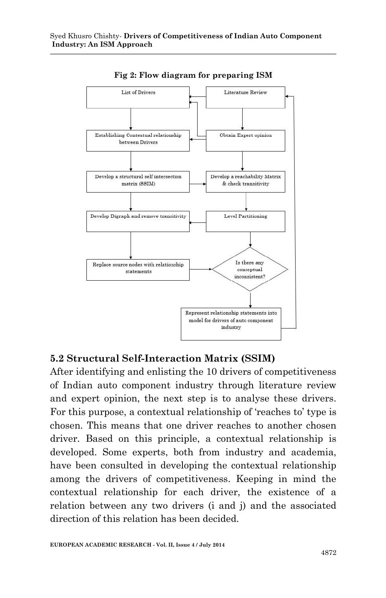

**Fig 2: Flow diagram for preparing ISM**

#### **5.2 Structural Self-Interaction Matrix (SSIM)**

After identifying and enlisting the 10 drivers of competitiveness of Indian auto component industry through literature review and expert opinion, the next step is to analyse these drivers. For this purpose, a contextual relationship of 'reaches to' type is chosen. This means that one driver reaches to another chosen driver. Based on this principle, a contextual relationship is developed. Some experts, both from industry and academia, have been consulted in developing the contextual relationship among the drivers of competitiveness. Keeping in mind the contextual relationship for each driver, the existence of a relation between any two drivers (i and j) and the associated direction of this relation has been decided.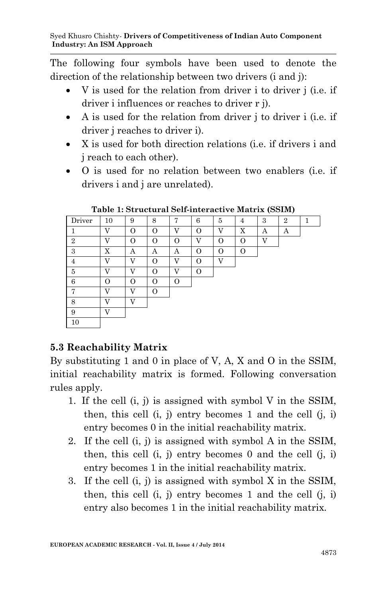The following four symbols have been used to denote the direction of the relationship between two drivers (i and j):

- V is used for the relation from driver i to driver j (i.e. if driver i influences or reaches to driver r j).
- A is used for the relation from driver i to driver i (i.e. if driver j reaches to driver i).
- X is used for both direction relations (i.e. if drivers i and j reach to each other).
- O is used for no relation between two enablers (i.e. if drivers i and j are unrelated).

| Driver         | 10             | 9              | 8        | 7              | 6  | 5              | 4 | 3            | $\overline{2}$ | ٦ |
|----------------|----------------|----------------|----------|----------------|----|----------------|---|--------------|----------------|---|
|                | $\overline{V}$ | $\Omega$       | $\Omega$ | V              | ∩  | $\overline{V}$ | X | Α            | Α              |   |
| $\overline{2}$ | $\mathbf{V}$   | O              | O        | O              | 37 | O              | O | $\mathbf{V}$ |                |   |
| 3              | X              | А              | А        | А              | O  | O              | 0 |              |                |   |
| 4              | $\mathbf{V}$   | $\overline{V}$ | Ω        | $\overline{V}$ | ∩  | $\mathbf{V}$   |   |              |                |   |
| 5              | $\mathbf{V}$   | X7             | O        | V              | Ω  |                |   |              |                |   |
| 6              | O              | O              | O        | O              |    |                |   |              |                |   |
| π,             | $\mathbf{V}$   | T <sub>7</sub> | O        |                |    |                |   |              |                |   |
| 8              | $\overline{V}$ | X7             |          |                |    |                |   |              |                |   |
| 9              | $\mathbf{V}$   |                |          |                |    |                |   |              |                |   |
| 10             |                |                |          |                |    |                |   |              |                |   |

**Table 1: Structural Self-interactive Matrix (SSIM)**

# **5.3 Reachability Matrix**

By substituting 1 and 0 in place of V, A, X and O in the SSIM, initial reachability matrix is formed. Following conversation rules apply.

- 1. If the cell (i, j) is assigned with symbol V in the SSIM, then, this cell  $(i, j)$  entry becomes 1 and the cell  $(i, i)$ entry becomes 0 in the initial reachability matrix.
- 2. If the cell (i, j) is assigned with symbol A in the SSIM, then, this cell  $(i, j)$  entry becomes 0 and the cell  $(i, i)$ entry becomes 1 in the initial reachability matrix.
- 3. If the cell (i, j) is assigned with symbol X in the SSIM, then, this cell  $(i, j)$  entry becomes 1 and the cell  $(i, i)$ entry also becomes 1 in the initial reachability matrix.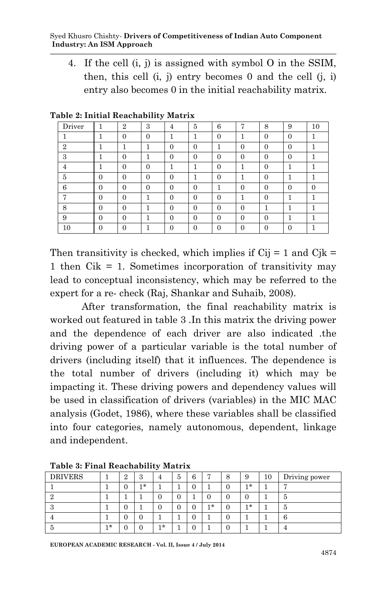4. If the cell (i, j) is assigned with symbol O in the SSIM, then, this cell  $(i, j)$  entry becomes 0 and the cell  $(i, i)$ entry also becomes 0 in the initial reachability matrix.

| Driver         | T        | $\overline{2}$ | 3        | 4                | 5              | 6                | 7        | 8        | 9        | 10 |
|----------------|----------|----------------|----------|------------------|----------------|------------------|----------|----------|----------|----|
|                |          | 0              | $\Omega$ |                  |                | $\left( \right)$ |          | $\Omega$ | $\Omega$ |    |
| $\overline{2}$ |          | ٠              |          | $\Omega$         | $\Omega$       |                  | $\Omega$ | $\theta$ | $\Omega$ |    |
| 3              |          |                |          | $\left( \right)$ | $\theta$       |                  | $\cup$   | $\Omega$ | $\Omega$ |    |
| 4              |          | $\Omega$       |          |                  |                | $\left($         |          | $\Omega$ |          |    |
| 5              | $\Omega$ |                |          |                  |                |                  |          | U        |          |    |
| 6              | $\theta$ | $\Omega$       | $\Omega$ | 0                | $\Omega$       |                  | 0        | $\Omega$ | $\Omega$ | 0  |
| $\overline{ }$ | $\Omega$ |                |          | $\Omega$         | $\Omega$       | $\mathcal{L}$    |          | $\Omega$ |          |    |
| 8              | $\theta$ |                |          | $\theta$         | $\overline{0}$ |                  | $\theta$ |          |          |    |
| 9              | $\Omega$ | $\mathcal{L}$  |          |                  | $\Omega$       | $\mathcal{L}$    | U        | 0        |          |    |
| 10             | $\Omega$ |                |          |                  | $\Omega$       |                  |          |          | $\Omega$ |    |

**Table 2: Initial Reachability Matrix**

Then transitivity is checked, which implies if  $Cij = 1$  and  $Cjk =$ 1 then Cik = 1. Sometimes incorporation of transitivity may lead to conceptual inconsistency, which may be referred to the expert for a re- check (Raj, Shankar and Suhaib, 2008).

After transformation, the final reachability matrix is worked out featured in table 3 .In this matrix the driving power and the dependence of each driver are also indicated .the driving power of a particular variable is the total number of drivers (including itself) that it influences. The dependence is the total number of drivers (including it) which may be impacting it. These driving powers and dependency values will be used in classification of drivers (variables) in the MIC MAC analysis (Godet, 1986), where these variables shall be classified into four categories, namely autonomous, dependent, linkage and independent.

| <b>DRIVERS</b> |     | $\overline{2}$ | $\Omega$<br>ð |     | Ð | O |     | 8 | .,  | 10 | Driving power |
|----------------|-----|----------------|---------------|-----|---|---|-----|---|-----|----|---------------|
|                |     | U              | 1 *           |     |   |   |     | 0 | ∣*  |    | ┍             |
|                |     |                |               |     |   |   |     | 0 |     |    | 5             |
| υ              |     | U              |               |     |   | U | 1 * | 0 | 1 * |    | 5             |
|                |     | U              | U             |     |   |   |     | 0 |     |    | b             |
| Ð              | 1 * |                |               | 1 * |   |   |     | 0 |     |    | 4             |

**Table 3: Final Reachability Matrix**

**EUROPEAN ACADEMIC RESEARCH - Vol. II, Issue 4 / July 2014**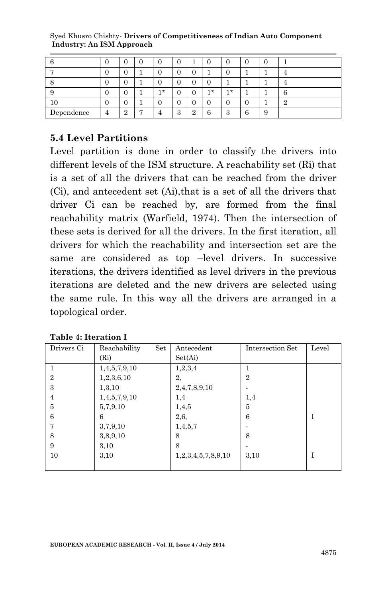|            |   | U             |   |    |               |               |     |               |        |    |   |
|------------|---|---------------|---|----|---------------|---------------|-----|---------------|--------|----|---|
|            |   | U             |   |    |               |               |     |               |        |    |   |
|            |   | U             |   |    |               |               |     |               |        |    |   |
|            | υ | U             |   | 1* |               |               | 1 * | 1*            |        |    | h |
| 10         |   | U             |   |    |               |               |     | U             |        |    | Ω |
| Dependence | 4 | $\Omega$<br>▵ | − |    | $\Omega$<br>↩ | $\Omega$<br>◢ | 6   | $\Omega$<br>ð | ◠<br>b | ., |   |

Syed Khusro Chishty*-* **Drivers of Competitiveness of Indian Auto Component Industry: An ISM Approach**

### **5.4 Level Partitions**

Level partition is done in order to classify the drivers into different levels of the ISM structure. A reachability set (Ri) that is a set of all the drivers that can be reached from the driver (Ci), and antecedent set (Ai),that is a set of all the drivers that driver Ci can be reached by, are formed from the final reachability matrix (Warfield, 1974). Then the intersection of these sets is derived for all the drivers. In the first iteration, all drivers for which the reachability and intersection set are the same are considered as top –level drivers. In successive iterations, the drivers identified as level drivers in the previous iterations are deleted and the new drivers are selected using the same rule. In this way all the drivers are arranged in a topological order.

| Drivers Ci     | Reachability<br>Set | Antecedent         | Intersection Set | Level |
|----------------|---------------------|--------------------|------------------|-------|
|                | (Ri)                | Set(Ai)            |                  |       |
|                | 1,4,5,7,9,10        | 1, 2, 3, 4         |                  |       |
| $\overline{2}$ | 1,2,3,6,10          | 2,                 | $\overline{2}$   |       |
| 3              | 1, 3, 10            | 2,4,7,8,9,10       |                  |       |
| $\overline{4}$ | 1,4,5,7,9,10        | 1,4                | 1,4              |       |
| 5              | 5,7,9,10            | 1,4,5              | 5                |       |
| 6              | 6                   | 2,6,               | 6                |       |
|                | 3,7,9,10            | 1,4,5,7            |                  |       |
| 8              | 3,8,9,10            | 8                  | 8                |       |
| 9              | 3.10                | 8                  |                  |       |
| 10             | 3.10                | 1,2,3,4,5,7,8,9,10 | 3,10             |       |
|                |                     |                    |                  |       |

**Table 4: Iteration I**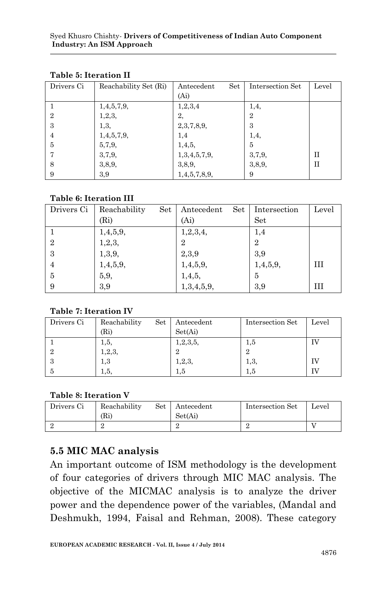| Drivers Ci     | Reachability Set (Ri) | Set<br>Antecedent | Intersection Set | Level |
|----------------|-----------------------|-------------------|------------------|-------|
|                |                       | (A <sub>i</sub> ) |                  |       |
|                | 1,4,5,7,9,            | 1, 2, 3, 4        | 1,4,             |       |
| $\overline{2}$ | 1, 2, 3,              | 2,                | $\overline{2}$   |       |
| 3              | 1,3,                  | 2,3,7,8,9,        | 3                |       |
| 4              | 1,4,5,7,9,            | 1,4               | 1,4,             |       |
| 5              | 5,7,9,                | 1,4,5,            | 5                |       |
|                | 3,7,9,                | 1,3,4,5,7,9,      | 3,7,9,           | H     |
| 8              | 3,8,9,                | 3,8,9,            | 3, 8, 9,         | H     |
| 9              | 3,9                   | 1,4,5,7,8,9,      | 9                |       |

#### **Table 5: Iteration II**

#### **Table 6: Iteration III**

| Drivers Ci     | Reachability<br>Set | Set  <br>Antecedent | Intersection   | Level |
|----------------|---------------------|---------------------|----------------|-------|
|                | (Ri)                | (A <sub>i</sub> )   | Set            |       |
|                | 1,4,5,9,            | 1,2,3,4,            | 1,4            |       |
| $\overline{2}$ | 1, 2, 3,            | $\overline{2}$      | $\overline{2}$ |       |
| 3              | 1, 3, 9,            | 2,3,9               | 3,9            |       |
| $\overline{4}$ | 1,4,5,9,            | 1,4,5,9,            | 1,4,5,9,       | Ш     |
| -5             | 5,9,                | 1,4,5,              | 5              |       |
| 9              | 3,9                 | 1,3,4,5,9,          | 3,9            | ш     |

#### **Table 7: Iteration IV**

| Drivers Ci | Reachability<br>Set | Antecedent  | Intersection Set | Level |
|------------|---------------------|-------------|------------------|-------|
|            | (Ri)                | Set(Ai)     |                  |       |
|            | 1,5,                | 1, 2, 3, 5, | 1,5              |       |
|            | 1, 2, 3,            |             |                  |       |
| -3         | 1,3                 | 1, 2, 3,    | 1,3,             | ΓV    |
|            | 1,5,                | 1,5         | 1,5              | IV    |

#### **Table 8: Iteration V**

| Drivers Ci | Reachability<br>(Ri | Set | Antecedent<br>Set(Ai) | Intersection Set | Level |
|------------|---------------------|-----|-----------------------|------------------|-------|
|            |                     |     |                       |                  |       |

### **5.5 MIC MAC analysis**

An important outcome of ISM methodology is the development of four categories of drivers through MIC MAC analysis. The objective of the MICMAC analysis is to analyze the driver power and the dependence power of the variables, (Mandal and Deshmukh, 1994, Faisal and Rehman, 2008). These category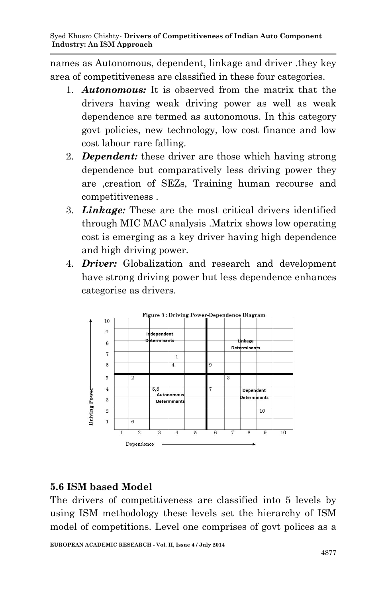names as Autonomous, dependent, linkage and driver .they key area of competitiveness are classified in these four categories.

- 1. *Autonomous:* It is observed from the matrix that the drivers having weak driving power as well as weak dependence are termed as autonomous. In this category govt policies, new technology, low cost finance and low cost labour rare falling.
- 2. *Dependent:* these driver are those which having strong dependence but comparatively less driving power they are ,creation of SEZs, Training human recourse and competitiveness .
- 3. *Linkage:* These are the most critical drivers identified through MIC MAC analysis .Matrix shows low operating cost is emerging as a key driver having high dependence and high driving power.
- 4. *Driver:* Globalization and research and development have strong driving power but less dependence enhances categorise as drivers.



# **5.6 ISM based Model**

The drivers of competitiveness are classified into 5 levels by using ISM methodology these levels set the hierarchy of ISM model of competitions. Level one comprises of govt polices as a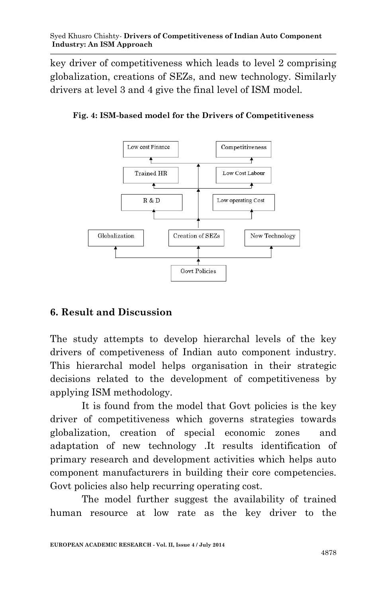key driver of competitiveness which leads to level 2 comprising globalization, creations of SEZs, and new technology. Similarly drivers at level 3 and 4 give the final level of ISM model.





# **6. Result and Discussion**

The study attempts to develop hierarchal levels of the key drivers of competiveness of Indian auto component industry. This hierarchal model helps organisation in their strategic decisions related to the development of competitiveness by applying ISM methodology.

It is found from the model that Govt policies is the key driver of competitiveness which governs strategies towards globalization, creation of special economic zones and adaptation of new technology .It results identification of primary research and development activities which helps auto component manufacturers in building their core competencies. Govt policies also help recurring operating cost.

The model further suggest the availability of trained human resource at low rate as the key driver to the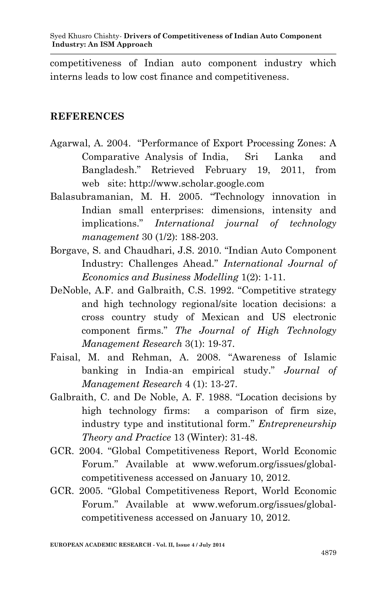competitiveness of Indian auto component industry which interns leads to low cost finance and competitiveness.

#### **REFERENCES**

- Agarwal, A. 2004. "Performance of Export Processing Zones: A Comparative Analysis of India, Sri Lanka and Bangladesh." Retrieved February 19, 2011, from web site: http://www.scholar.google.com
- Balasubramanian, M. H. 2005. "Technology innovation in Indian small enterprises: dimensions, intensity and implications." *International journal of technology management* 30 (1/2): 188-203.
- Borgave, S. and Chaudhari, J.S. 2010. "Indian Auto Component Industry: Challenges Ahead." *International Journal of Economics and Business Modelling* 1(2): 1-11.
- DeNoble, A.F. and Galbraith, C.S. 1992. "Competitive strategy and high technology regional/site location decisions: a cross country study of Mexican and US electronic component firms." *The Journal of High Technology Management Research* 3(1): 19-37.
- Faisal, M. and Rehman, A. 2008. "Awareness of Islamic banking in India-an empirical study." *Journal of Management Research* 4 (1): 13-27.
- Galbraith, C. and De Noble, A. F. 1988. "Location decisions by high technology firms: a comparison of firm size, industry type and institutional form." *Entrepreneurship Theory and Practice* 13 (Winter): 31-48.
- GCR. 2004. "Global Competitiveness Report, World Economic Forum." Available at www.weforum.org/issues/globalcompetitiveness accessed on January 10, 2012.
- GCR. 2005. "Global Competitiveness Report, World Economic Forum." Available at www.weforum.org/issues/globalcompetitiveness accessed on January 10, 2012.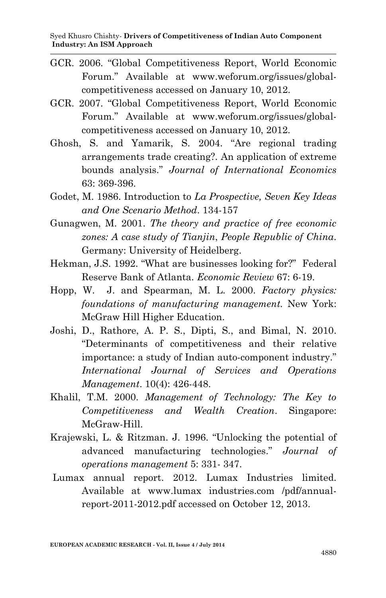- GCR. 2006. "Global Competitiveness Report, World Economic Forum." Available at www.weforum.org/issues/globalcompetitiveness accessed on January 10, 2012.
- GCR. 2007. "Global Competitiveness Report, World Economic Forum." Available at www.weforum.org/issues/globalcompetitiveness accessed on January 10, 2012.
- Ghosh, S. and Yamarik, S. 2004. "Are regional trading arrangements trade creating?. An application of extreme bounds analysis." *Journal of International Economics* 63: 369-396.
- Godet, M. 1986. Introduction to *La Prospective, Seven Key Ideas and One Scenario Method*. 134-157
- Gunagwen, M. 2001. *The theory and practice of free economic zones: A case study of Tianjin*, *People Republic of China*. Germany: University of Heidelberg.
- Hekman, J.S. 1992. "What are businesses looking for?" Federal Reserve Bank of Atlanta. *Economic Review* 67: 6-19.
- Hopp, W. J. and Spearman, M. L. 2000. *Factory physics: foundations of manufacturing management.* New York: McGraw Hill Higher Education.
- Joshi, D., Rathore, A. P. S., Dipti, S., and Bimal, N. 2010. "Determinants of competitiveness and their relative importance: a study of Indian auto-component industry." *International Journal of Services and Operations Management*. 10(4): 426-448.
- Khalil, T.M. 2000. *Management of Technology: The Key to Competitiveness and Wealth Creation*. Singapore: McGraw-Hill.
- Krajewski, L. & Ritzman. J. 1996. "Unlocking the potential of advanced manufacturing technologies." *Journal of operations management* 5: 331- 347.
- Lumax annual report. 2012. Lumax Industries limited. Available at www.lumax industries.com /pdf/annualreport-2011-2012.pdf accessed on October 12, 2013.